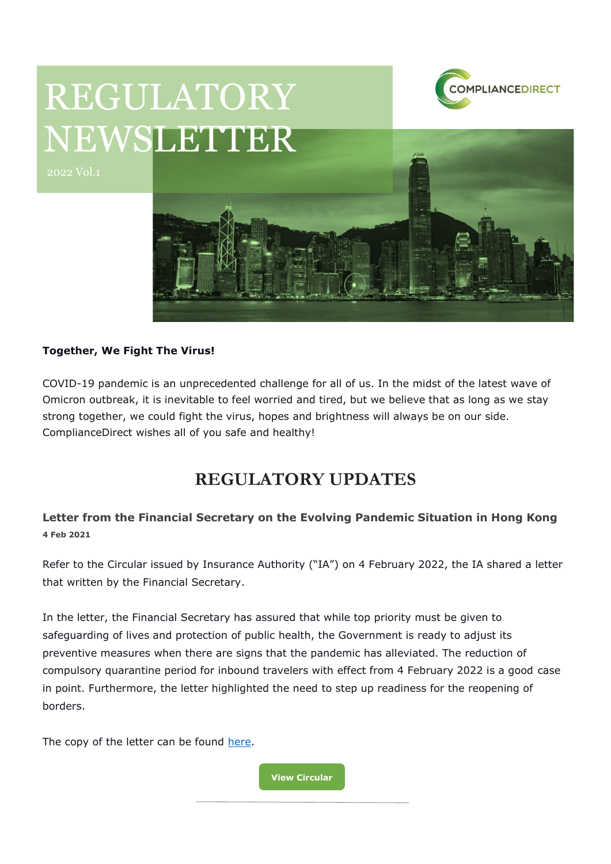

# REGULATORY NEWSLETTER



#### **Together, We Fight The Virus!**

COVID-19 pandemic is an unprecedented challenge for all of us. In the midst of the latest wave of Omicron outbreak, it is inevitable to feel worried and tired, but we believe that as long as we stay strong together, we could fight the virus, hopes and brightness will always be on our side. ComplianceDirect wishes all of you safe and healthy!

## **REGULATORY UPDATES**

### **Letter from the Financial Secretary on the Evolving Pandemic Situation in Hong Kong 4 Feb 2021**

Refer to the Circular issued by Insurance Authority ("IA") on 4 February 2022, the IA shared a letter that written by the Financial Secretary.

In the letter, the Financial Secretary has assured that while top priority must be given to safeguarding of lives and protection of public health, the Government is ready to adjust its preventive measures when there are signs that the pandemic has alleviated. The reduction of compulsory quarantine period for inbound travelers with effect from 4 February 2022 is a good case in point. Furthermore, the letter highlighted the need to step up readiness for the reopening of borders.

The copy of the letter can be found [here.](https://www.ia.org.hk/en/legislative_framework/circulars/reg_matters/files/Letter_from_FS.pdf)

**[View Circular](https://www.ia.org.hk/en/legislative_framework/circulars/reg_matters/files/Cir_dd_04.02.2022.pdf)**